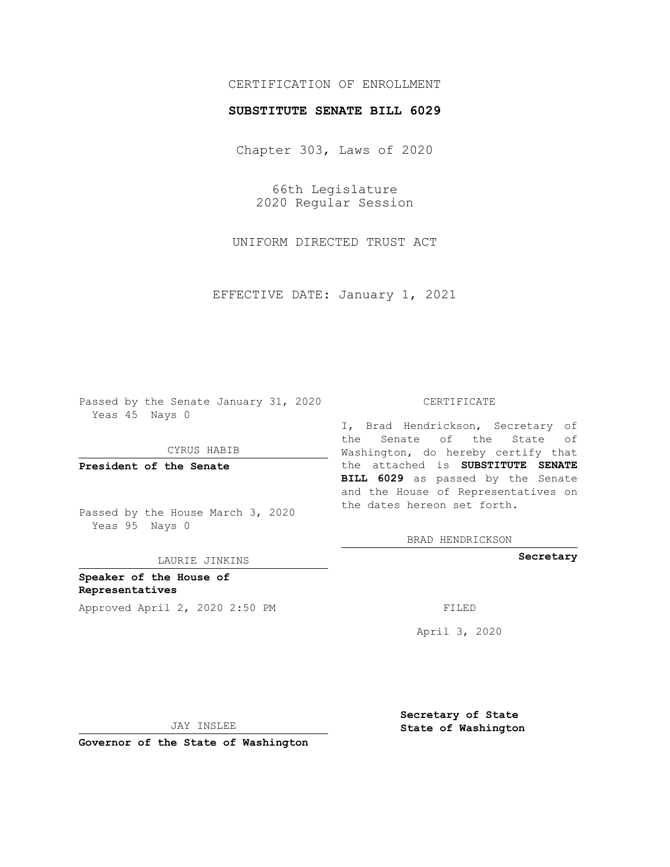# CERTIFICATION OF ENROLLMENT

## **SUBSTITUTE SENATE BILL 6029**

Chapter 303, Laws of 2020

66th Legislature 2020 Regular Session

UNIFORM DIRECTED TRUST ACT

EFFECTIVE DATE: January 1, 2021

Passed by the Senate January 31, 2020 Yeas 45 Nays 0

CYRUS HABIB

**President of the Senate**

Passed by the House March 3, 2020 Yeas 95 Nays 0

LAURIE JINKINS

**Speaker of the House of Representatives** Approved April 2, 2020 2:50 PM

#### CERTIFICATE

I, Brad Hendrickson, Secretary of the Senate of the State of Washington, do hereby certify that the attached is **SUBSTITUTE SENATE BILL 6029** as passed by the Senate and the House of Representatives on the dates hereon set forth.

BRAD HENDRICKSON

**Secretary**

April 3, 2020

JAY INSLEE

**Governor of the State of Washington**

**Secretary of State State of Washington**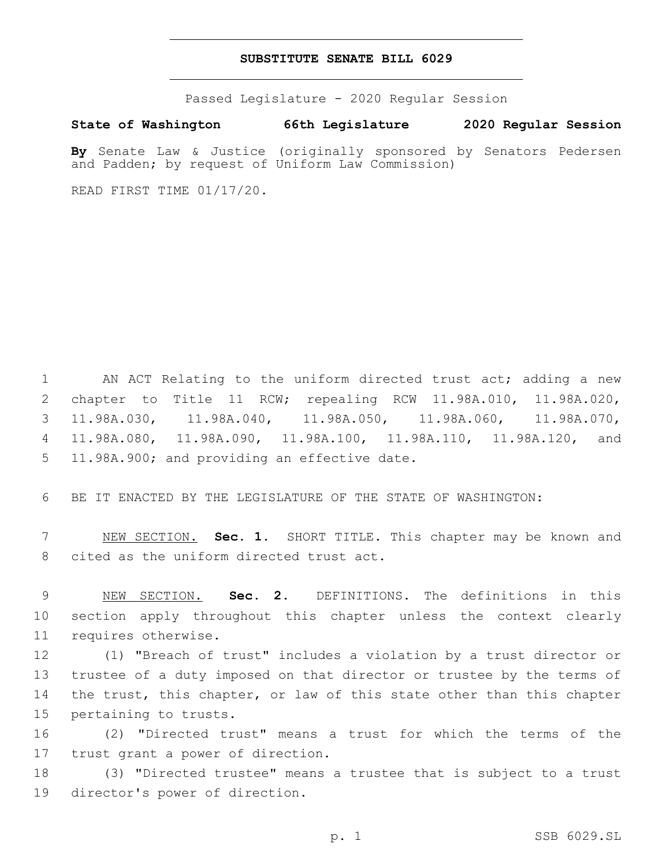### **SUBSTITUTE SENATE BILL 6029**

Passed Legislature - 2020 Regular Session

**State of Washington 66th Legislature 2020 Regular Session**

**By** Senate Law & Justice (originally sponsored by Senators Pedersen and Padden; by request of Uniform Law Commission)

READ FIRST TIME 01/17/20.

 AN ACT Relating to the uniform directed trust act; adding a new chapter to Title 11 RCW; repealing RCW 11.98A.010, 11.98A.020, 11.98A.030, 11.98A.040, 11.98A.050, 11.98A.060, 11.98A.070, 11.98A.080, 11.98A.090, 11.98A.100, 11.98A.110, 11.98A.120, and 5 11.98A.900; and providing an effective date.

6 BE IT ENACTED BY THE LEGISLATURE OF THE STATE OF WASHINGTON:

7 NEW SECTION. **Sec. 1.** SHORT TITLE. This chapter may be known and 8 cited as the uniform directed trust act.

9 NEW SECTION. **Sec. 2.** DEFINITIONS. The definitions in this 10 section apply throughout this chapter unless the context clearly 11 requires otherwise.

 (1) "Breach of trust" includes a violation by a trust director or trustee of a duty imposed on that director or trustee by the terms of the trust, this chapter, or law of this state other than this chapter 15 pertaining to trusts.

16 (2) "Directed trust" means a trust for which the terms of the 17 trust grant a power of direction.

18 (3) "Directed trustee" means a trustee that is subject to a trust 19 director's power of direction.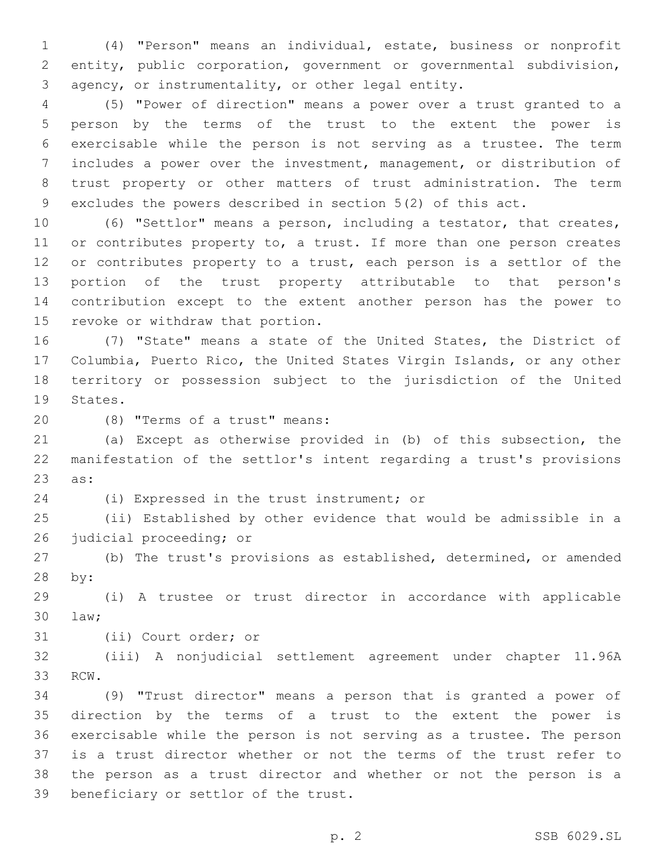(4) "Person" means an individual, estate, business or nonprofit entity, public corporation, government or governmental subdivision, 3 agency, or instrumentality, or other legal entity.

 (5) "Power of direction" means a power over a trust granted to a person by the terms of the trust to the extent the power is exercisable while the person is not serving as a trustee. The term includes a power over the investment, management, or distribution of trust property or other matters of trust administration. The term excludes the powers described in section 5(2) of this act.

 (6) "Settlor" means a person, including a testator, that creates, 11 or contributes property to, a trust. If more than one person creates 12 or contributes property to a trust, each person is a settlor of the portion of the trust property attributable to that person's contribution except to the extent another person has the power to 15 revoke or withdraw that portion.

 (7) "State" means a state of the United States, the District of Columbia, Puerto Rico, the United States Virgin Islands, or any other territory or possession subject to the jurisdiction of the United 19 States.

(8) "Terms of a trust" means:20

 (a) Except as otherwise provided in (b) of this subsection, the manifestation of the settlor's intent regarding a trust's provisions 23 as:

24 (i) Expressed in the trust instrument; or

 (ii) Established by other evidence that would be admissible in a 26 judicial proceeding; or

 (b) The trust's provisions as established, determined, or amended 28 by:

 (i) A trustee or trust director in accordance with applicable law;30

31 (ii) Court order; or

 (iii) A nonjudicial settlement agreement under chapter 11.96A 33 RCW.

 (9) "Trust director" means a person that is granted a power of direction by the terms of a trust to the extent the power is exercisable while the person is not serving as a trustee. The person is a trust director whether or not the terms of the trust refer to the person as a trust director and whether or not the person is a 39 beneficiary or settlor of the trust.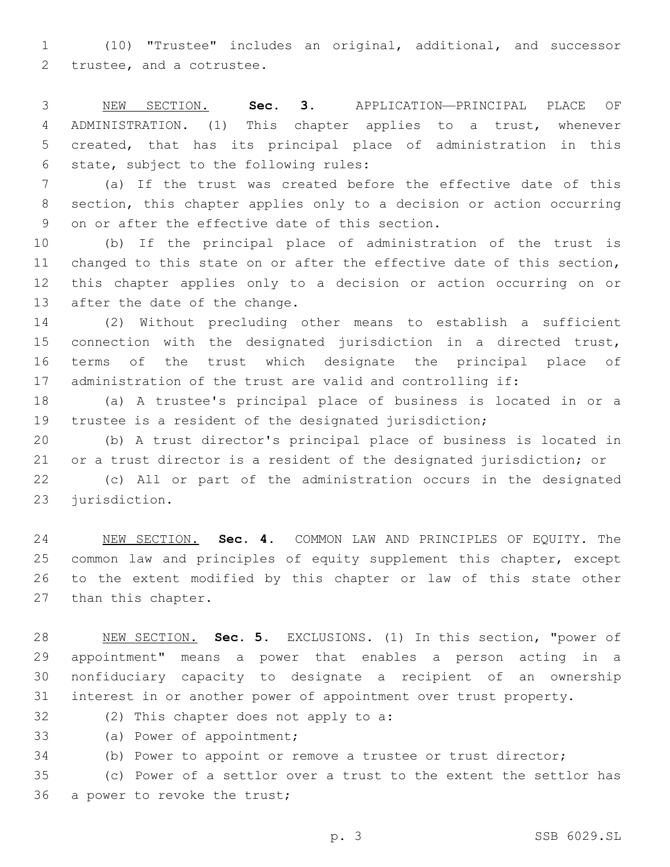(10) "Trustee" includes an original, additional, and successor 2 trustee, and a cotrustee.

 NEW SECTION. **Sec. 3.** APPLICATION—PRINCIPAL PLACE OF ADMINISTRATION. (1) This chapter applies to a trust, whenever created, that has its principal place of administration in this state, subject to the following rules:

 (a) If the trust was created before the effective date of this section, this chapter applies only to a decision or action occurring 9 on or after the effective date of this section.

 (b) If the principal place of administration of the trust is changed to this state on or after the effective date of this section, this chapter applies only to a decision or action occurring on or 13 after the date of the change.

 (2) Without precluding other means to establish a sufficient connection with the designated jurisdiction in a directed trust, terms of the trust which designate the principal place of administration of the trust are valid and controlling if:

 (a) A trustee's principal place of business is located in or a trustee is a resident of the designated jurisdiction;

 (b) A trust director's principal place of business is located in or a trust director is a resident of the designated jurisdiction; or

 (c) All or part of the administration occurs in the designated 23 jurisdiction.

 NEW SECTION. **Sec. 4.** COMMON LAW AND PRINCIPLES OF EQUITY. The common law and principles of equity supplement this chapter, except to the extent modified by this chapter or law of this state other than this chapter.

 NEW SECTION. **Sec. 5.** EXCLUSIONS. (1) In this section, "power of appointment" means a power that enables a person acting in a nonfiduciary capacity to designate a recipient of an ownership interest in or another power of appointment over trust property.

32 (2) This chapter does not apply to a:

33 (a) Power of appointment;

(b) Power to appoint or remove a trustee or trust director;

 (c) Power of a settlor over a trust to the extent the settlor has 36 a power to revoke the trust;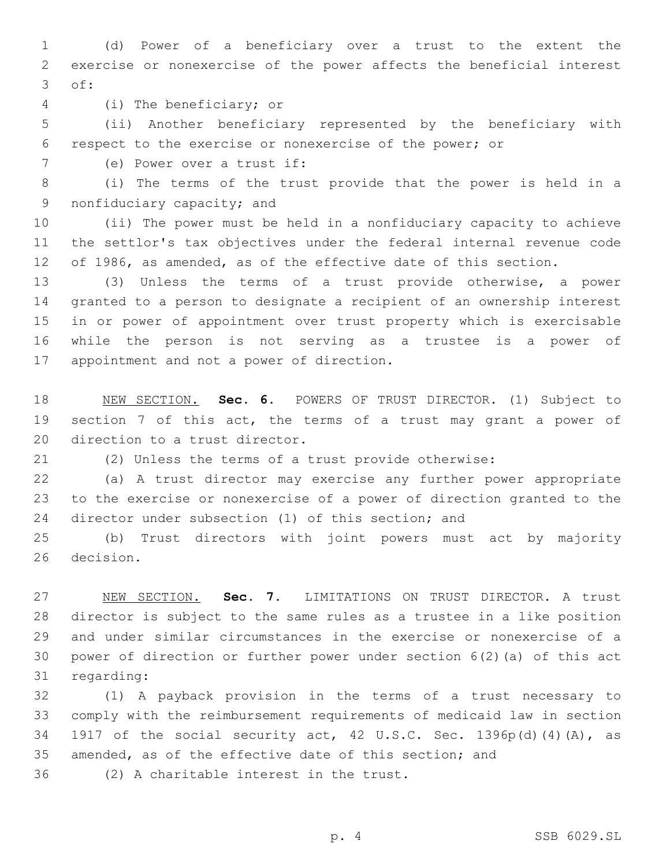(d) Power of a beneficiary over a trust to the extent the exercise or nonexercise of the power affects the beneficial interest 3 of:

(i) The beneficiary; or4

 (ii) Another beneficiary represented by the beneficiary with respect to the exercise or nonexercise of the power; or

7 (e) Power over a trust if:

 (i) The terms of the trust provide that the power is held in a 9 nonfiduciary capacity; and

 (ii) The power must be held in a nonfiduciary capacity to achieve the settlor's tax objectives under the federal internal revenue code of 1986, as amended, as of the effective date of this section.

 (3) Unless the terms of a trust provide otherwise, a power granted to a person to designate a recipient of an ownership interest in or power of appointment over trust property which is exercisable while the person is not serving as a trustee is a power of 17 appointment and not a power of direction.

 NEW SECTION. **Sec. 6.** POWERS OF TRUST DIRECTOR. (1) Subject to section 7 of this act, the terms of a trust may grant a power of direction to a trust director.

(2) Unless the terms of a trust provide otherwise:

 (a) A trust director may exercise any further power appropriate to the exercise or nonexercise of a power of direction granted to the director under subsection (1) of this section; and

 (b) Trust directors with joint powers must act by majority 26 decision.

 NEW SECTION. **Sec. 7.** LIMITATIONS ON TRUST DIRECTOR. A trust director is subject to the same rules as a trustee in a like position and under similar circumstances in the exercise or nonexercise of a power of direction or further power under section 6(2)(a) of this act regarding:

 (1) A payback provision in the terms of a trust necessary to comply with the reimbursement requirements of medicaid law in section 1917 of the social security act, 42 U.S.C. Sec. 1396p(d)(4)(A), as amended, as of the effective date of this section; and

36 (2) A charitable interest in the trust.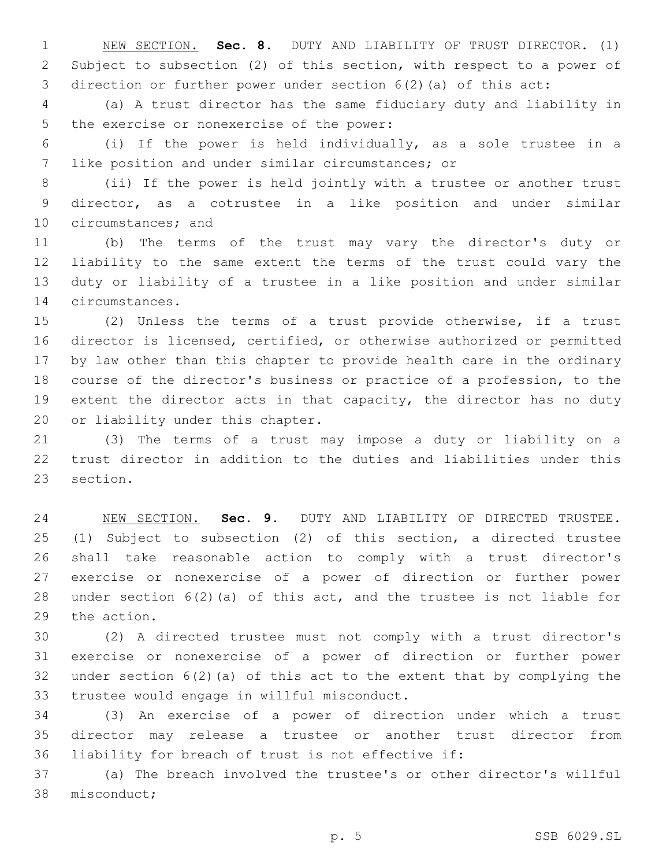NEW SECTION. **Sec. 8.** DUTY AND LIABILITY OF TRUST DIRECTOR. (1) Subject to subsection (2) of this section, with respect to a power of direction or further power under section 6(2)(a) of this act:

 (a) A trust director has the same fiduciary duty and liability in 5 the exercise or nonexercise of the power:

 (i) If the power is held individually, as a sole trustee in a 7 like position and under similar circumstances; or

 (ii) If the power is held jointly with a trustee or another trust director, as a cotrustee in a like position and under similar 10 circumstances; and

 (b) The terms of the trust may vary the director's duty or liability to the same extent the terms of the trust could vary the duty or liability of a trustee in a like position and under similar 14 circumstances.

 (2) Unless the terms of a trust provide otherwise, if a trust director is licensed, certified, or otherwise authorized or permitted by law other than this chapter to provide health care in the ordinary course of the director's business or practice of a profession, to the extent the director acts in that capacity, the director has no duty 20 or liability under this chapter.

 (3) The terms of a trust may impose a duty or liability on a trust director in addition to the duties and liabilities under this 23 section.

 NEW SECTION. **Sec. 9.** DUTY AND LIABILITY OF DIRECTED TRUSTEE. (1) Subject to subsection (2) of this section, a directed trustee shall take reasonable action to comply with a trust director's exercise or nonexercise of a power of direction or further power under section 6(2)(a) of this act, and the trustee is not liable for the action.

 (2) A directed trustee must not comply with a trust director's exercise or nonexercise of a power of direction or further power under section 6(2)(a) of this act to the extent that by complying the 33 trustee would engage in willful misconduct.

 (3) An exercise of a power of direction under which a trust director may release a trustee or another trust director from liability for breach of trust is not effective if:

 (a) The breach involved the trustee's or other director's willful 38 misconduct;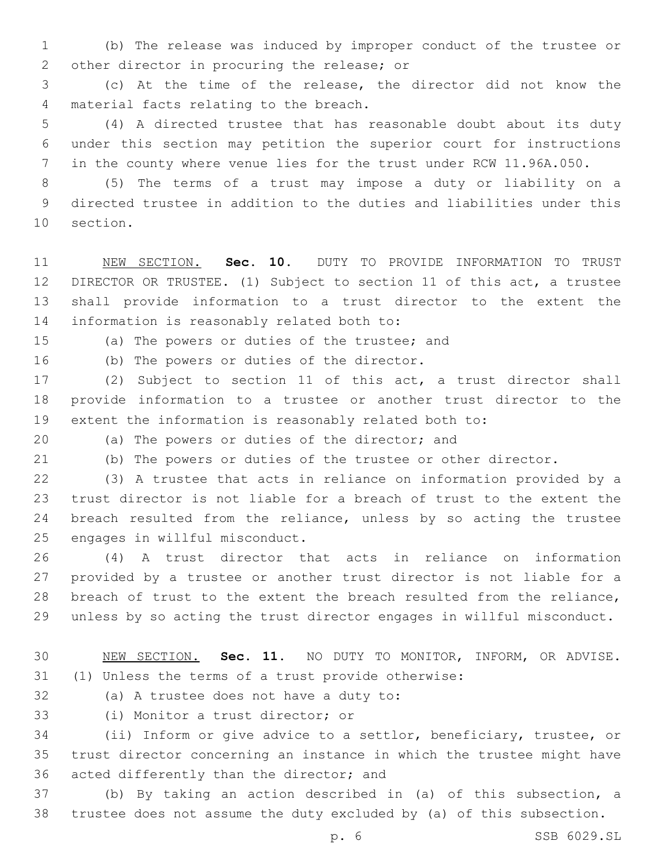(b) The release was induced by improper conduct of the trustee or 2 other director in procuring the release; or

 (c) At the time of the release, the director did not know the 4 material facts relating to the breach.

 (4) A directed trustee that has reasonable doubt about its duty under this section may petition the superior court for instructions in the county where venue lies for the trust under RCW 11.96A.050.

 (5) The terms of a trust may impose a duty or liability on a directed trustee in addition to the duties and liabilities under this 10 section.

 NEW SECTION. **Sec. 10.** DUTY TO PROVIDE INFORMATION TO TRUST DIRECTOR OR TRUSTEE. (1) Subject to section 11 of this act, a trustee shall provide information to a trust director to the extent the information is reasonably related both to:

15 (a) The powers or duties of the trustee; and

16 (b) The powers or duties of the director.

 (2) Subject to section 11 of this act, a trust director shall provide information to a trustee or another trust director to the extent the information is reasonably related both to:

20 (a) The powers or duties of the director; and

(b) The powers or duties of the trustee or other director.

 (3) A trustee that acts in reliance on information provided by a trust director is not liable for a breach of trust to the extent the breach resulted from the reliance, unless by so acting the trustee 25 engages in willful misconduct.

 (4) A trust director that acts in reliance on information provided by a trustee or another trust director is not liable for a breach of trust to the extent the breach resulted from the reliance, unless by so acting the trust director engages in willful misconduct.

# NEW SECTION. **Sec. 11.** NO DUTY TO MONITOR, INFORM, OR ADVISE. (1) Unless the terms of a trust provide otherwise:

32 (a) A trustee does not have a duty to:

33 (i) Monitor a trust director; or

 (ii) Inform or give advice to a settlor, beneficiary, trustee, or trust director concerning an instance in which the trustee might have 36 acted differently than the director; and

 (b) By taking an action described in (a) of this subsection, a trustee does not assume the duty excluded by (a) of this subsection.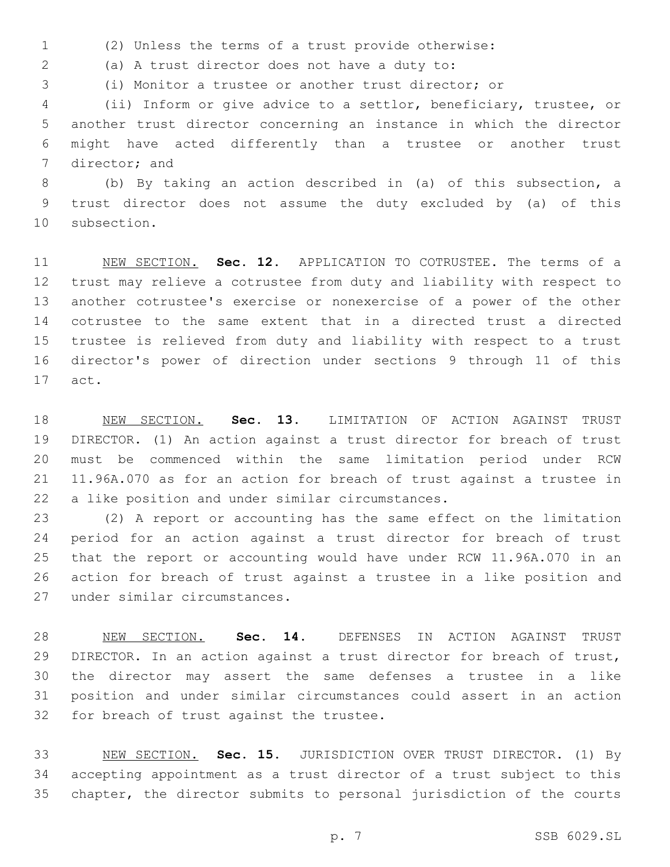(2) Unless the terms of a trust provide otherwise:

(a) A trust director does not have a duty to:2

(i) Monitor a trustee or another trust director; or

 (ii) Inform or give advice to a settlor, beneficiary, trustee, or another trust director concerning an instance in which the director might have acted differently than a trustee or another trust 7 director; and

 (b) By taking an action described in (a) of this subsection, a trust director does not assume the duty excluded by (a) of this 10 subsection.

 NEW SECTION. **Sec. 12.** APPLICATION TO COTRUSTEE. The terms of a trust may relieve a cotrustee from duty and liability with respect to another cotrustee's exercise or nonexercise of a power of the other cotrustee to the same extent that in a directed trust a directed trustee is relieved from duty and liability with respect to a trust director's power of direction under sections 9 through 11 of this act.

 NEW SECTION. **Sec. 13.** LIMITATION OF ACTION AGAINST TRUST DIRECTOR. (1) An action against a trust director for breach of trust must be commenced within the same limitation period under RCW 11.96A.070 as for an action for breach of trust against a trustee in a like position and under similar circumstances.

 (2) A report or accounting has the same effect on the limitation period for an action against a trust director for breach of trust that the report or accounting would have under RCW 11.96A.070 in an action for breach of trust against a trustee in a like position and 27 under similar circumstances.

 NEW SECTION. **Sec. 14.** DEFENSES IN ACTION AGAINST TRUST DIRECTOR. In an action against a trust director for breach of trust, the director may assert the same defenses a trustee in a like position and under similar circumstances could assert in an action for breach of trust against the trustee.

 NEW SECTION. **Sec. 15.** JURISDICTION OVER TRUST DIRECTOR. (1) By accepting appointment as a trust director of a trust subject to this chapter, the director submits to personal jurisdiction of the courts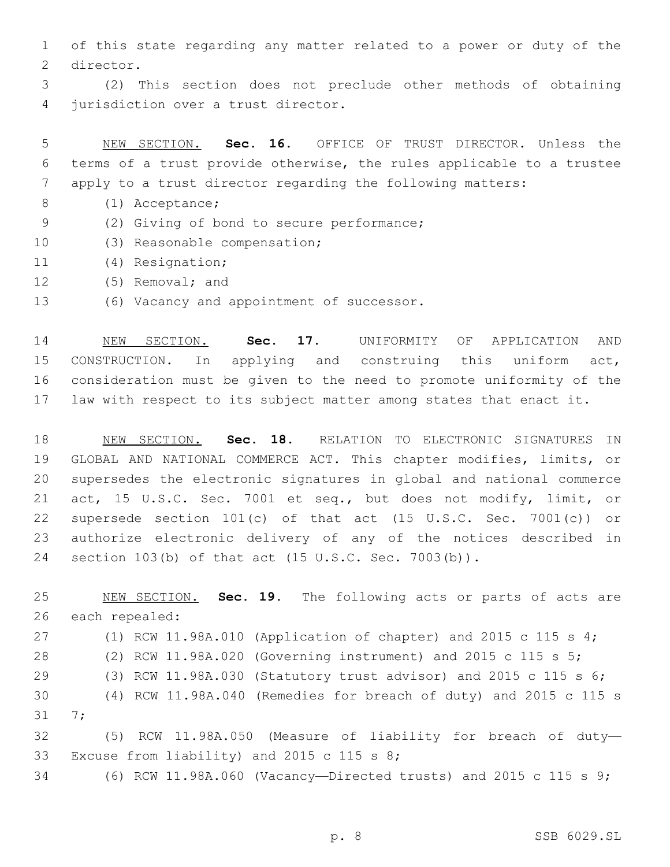of this state regarding any matter related to a power or duty of the 2 director.

 (2) This section does not preclude other methods of obtaining 4 jurisdiction over a trust director.

 NEW SECTION. **Sec. 16.** OFFICE OF TRUST DIRECTOR. Unless the terms of a trust provide otherwise, the rules applicable to a trustee apply to a trust director regarding the following matters:

- (1) Acceptance;8
- (2) Giving of bond to secure performance;9
- 10 (3) Reasonable compensation;
- (4) Resignation;11
- 12 (5) Removal; and
- 13 (6) Vacancy and appointment of successor.

 NEW SECTION. **Sec. 17.** UNIFORMITY OF APPLICATION AND CONSTRUCTION. In applying and construing this uniform act, consideration must be given to the need to promote uniformity of the law with respect to its subject matter among states that enact it.

 NEW SECTION. **Sec. 18.** RELATION TO ELECTRONIC SIGNATURES IN GLOBAL AND NATIONAL COMMERCE ACT. This chapter modifies, limits, or supersedes the electronic signatures in global and national commerce act, 15 U.S.C. Sec. 7001 et seq., but does not modify, limit, or supersede section 101(c) of that act (15 U.S.C. Sec. 7001(c)) or authorize electronic delivery of any of the notices described in section 103(b) of that act (15 U.S.C. Sec. 7003(b)).

 NEW SECTION. **Sec. 19.** The following acts or parts of acts are each repealed: (1) RCW 11.98A.010 (Application of chapter) and 2015 c 115 s 4; (2) RCW 11.98A.020 (Governing instrument) and 2015 c 115 s 5; (3) RCW 11.98A.030 (Statutory trust advisor) and 2015 c 115 s 6; (4) RCW 11.98A.040 (Remedies for breach of duty) and 2015 c 115 s 31 7; (5) RCW 11.98A.050 (Measure of liability for breach of duty— 33 Excuse from liability) and 2015 c 115 s  $8;$ (6) RCW 11.98A.060 (Vacancy—Directed trusts) and 2015 c 115 s 9;